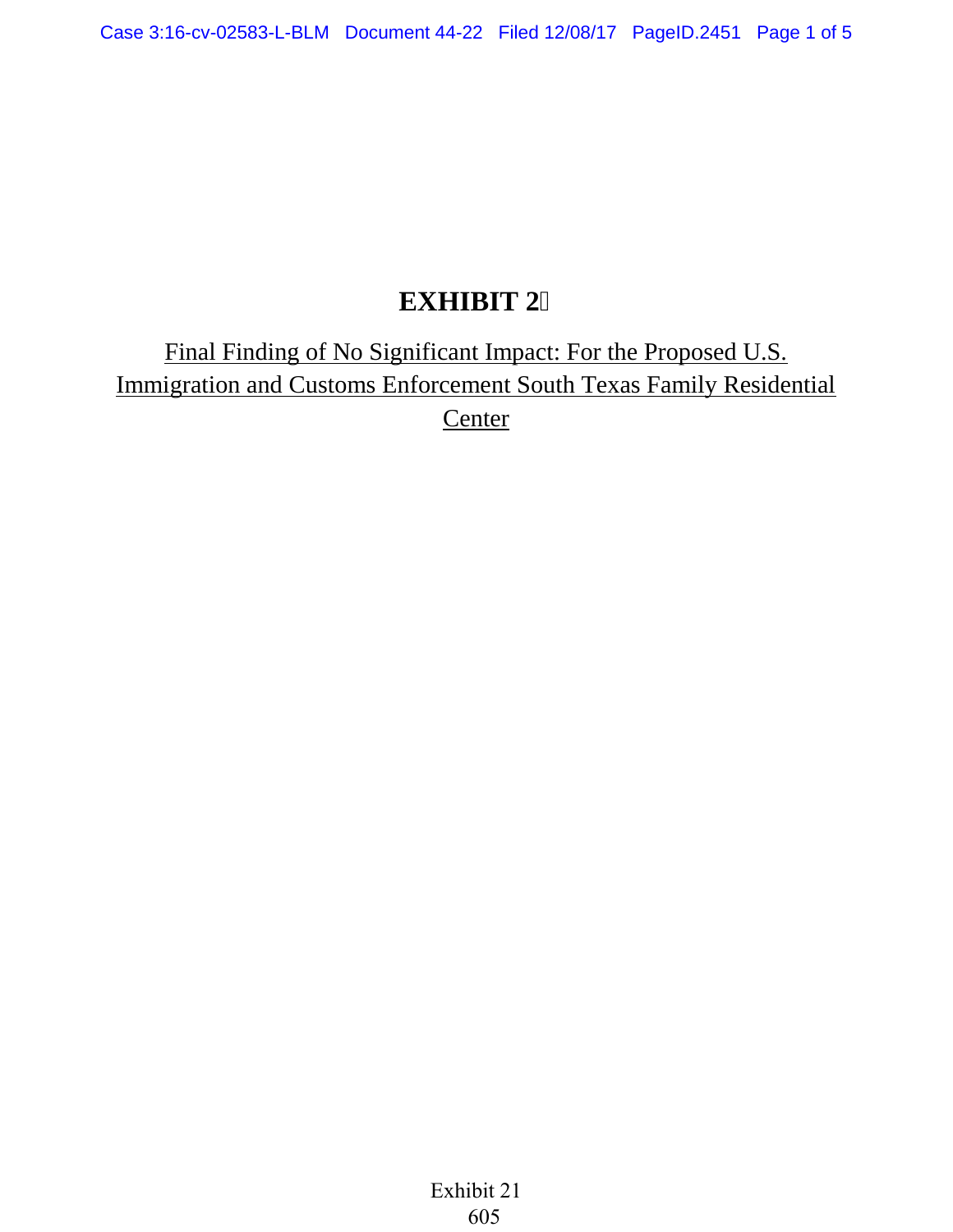## **EXHIBIT 2**

Final Finding of No Significant Impact: For the Proposed U.S. Immigration and Customs Enforcement South Texas Family Residential **Center**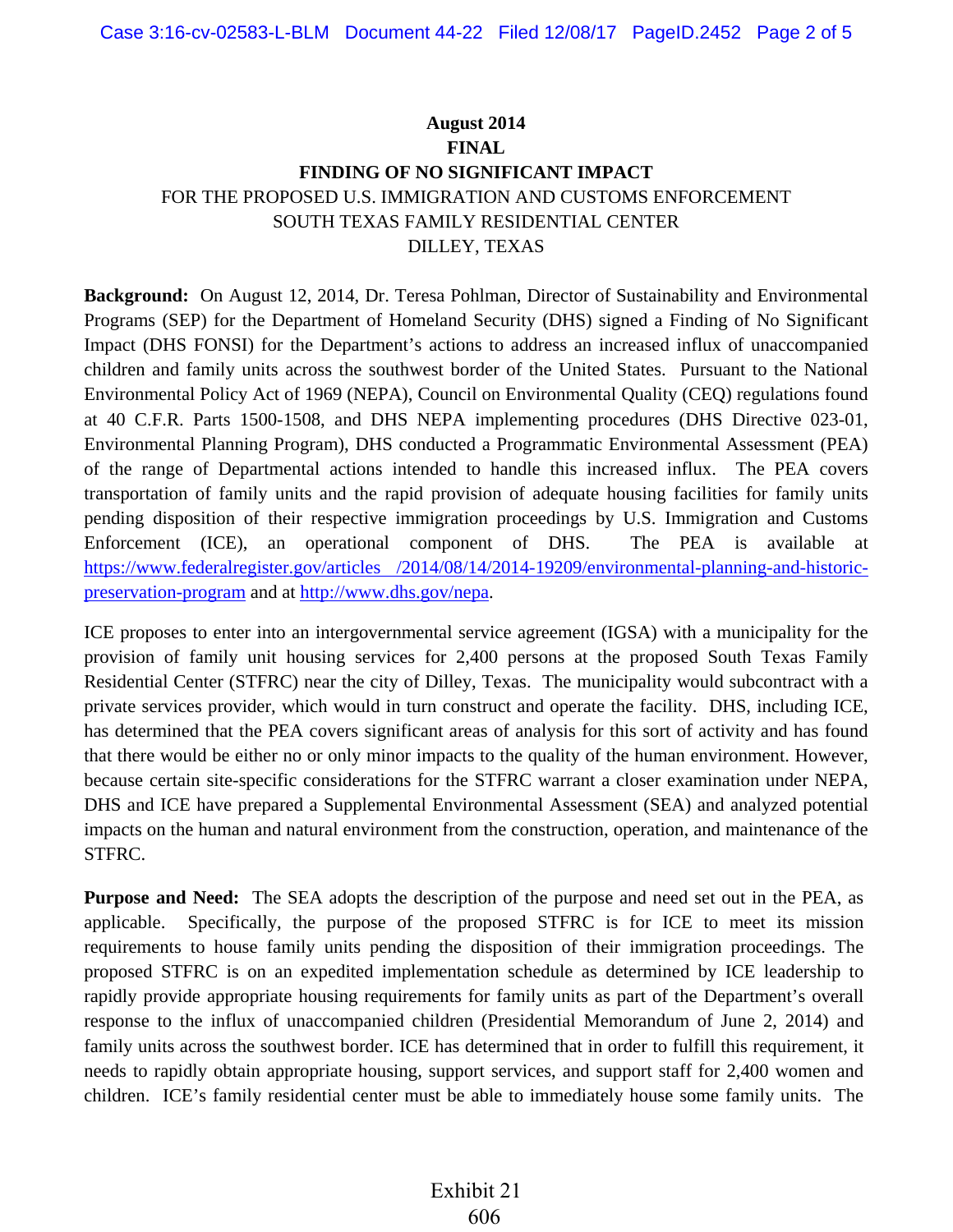## **August 2014 FINAL FINDING OF NO SIGNIFICANT IMPACT** FOR THE PROPOSED U.S. IMMIGRATION AND CUSTOMS ENFORCEMENT SOUTH TEXAS FAMILY RESIDENTIAL CENTER DILLEY, TEXAS

**Background:** On August 12, 2014, Dr. Teresa Pohlman, Director of Sustainability and Environmental Programs (SEP) for the Department of Homeland Security (DHS) signed a Finding of No Significant Impact (DHS FONSI) for the Department's actions to address an increased influx of unaccompanied children and family units across the southwest border of the United States. Pursuant to the National Environmental Policy Act of 1969 (NEPA), Council on Environmental Quality (CEQ) regulations found at 40 C.F.R. Parts 1500-1508, and DHS NEPA implementing procedures (DHS Directive 023-01, Environmental Planning Program), DHS conducted a Programmatic Environmental Assessment (PEA) of the range of Departmental actions intended to handle this increased influx. The PEA covers transportation of family units and the rapid provision of adequate housing facilities for family units pending disposition of their respective immigration proceedings by U.S. Immigration and Customs Enforcement (ICE), an operational component of DHS. The PEA is available at https://www.federalregister.gov/articles [/2014/08/14/2014-19209/environmental-planning-and-historic](https://www.federalregister.gov/articles)[preservation-program](https://www.federalregister.gov/articles) and at [http://www.dhs.gov/nepa.](http://www.dhs.gov/nepa)

ICE proposes to enter into an intergovernmental service agreement (IGSA) with a municipality for the provision of family unit housing services for 2,400 persons at the proposed South Texas Family Residential Center (STFRC) near the city of Dilley, Texas. The municipality would subcontract with a private services provider, which would in turn construct and operate the facility. DHS, including ICE, has determined that the PEA covers significant areas of analysis for this sort of activity and has found that there would be either no or only minor impacts to the quality of the human environment. However, because certain site-specific considerations for the STFRC warrant a closer examination under NEPA, DHS and ICE have prepared a Supplemental Environmental Assessment (SEA) and analyzed potential impacts on the human and natural environment from the construction, operation, and maintenance of the STFRC.

**Purpose and Need:** The SEA adopts the description of the purpose and need set out in the PEA, as applicable. Specifically, the purpose of the proposed STFRC is for ICE to meet its mission requirements to house family units pending the disposition of their immigration proceedings. The proposed STFRC is on an expedited implementation schedule as determined by ICE leadership to rapidly provide appropriate housing requirements for family units as part of the Department's overall response to the influx of unaccompanied children (Presidential Memorandum of June 2, 2014) and family units across the southwest border. ICE has determined that in order to fulfill this requirement, it needs to rapidly obtain appropriate housing, support services, and support staff for 2,400 women and children. ICE's family residential center must be able to immediately house some family units. The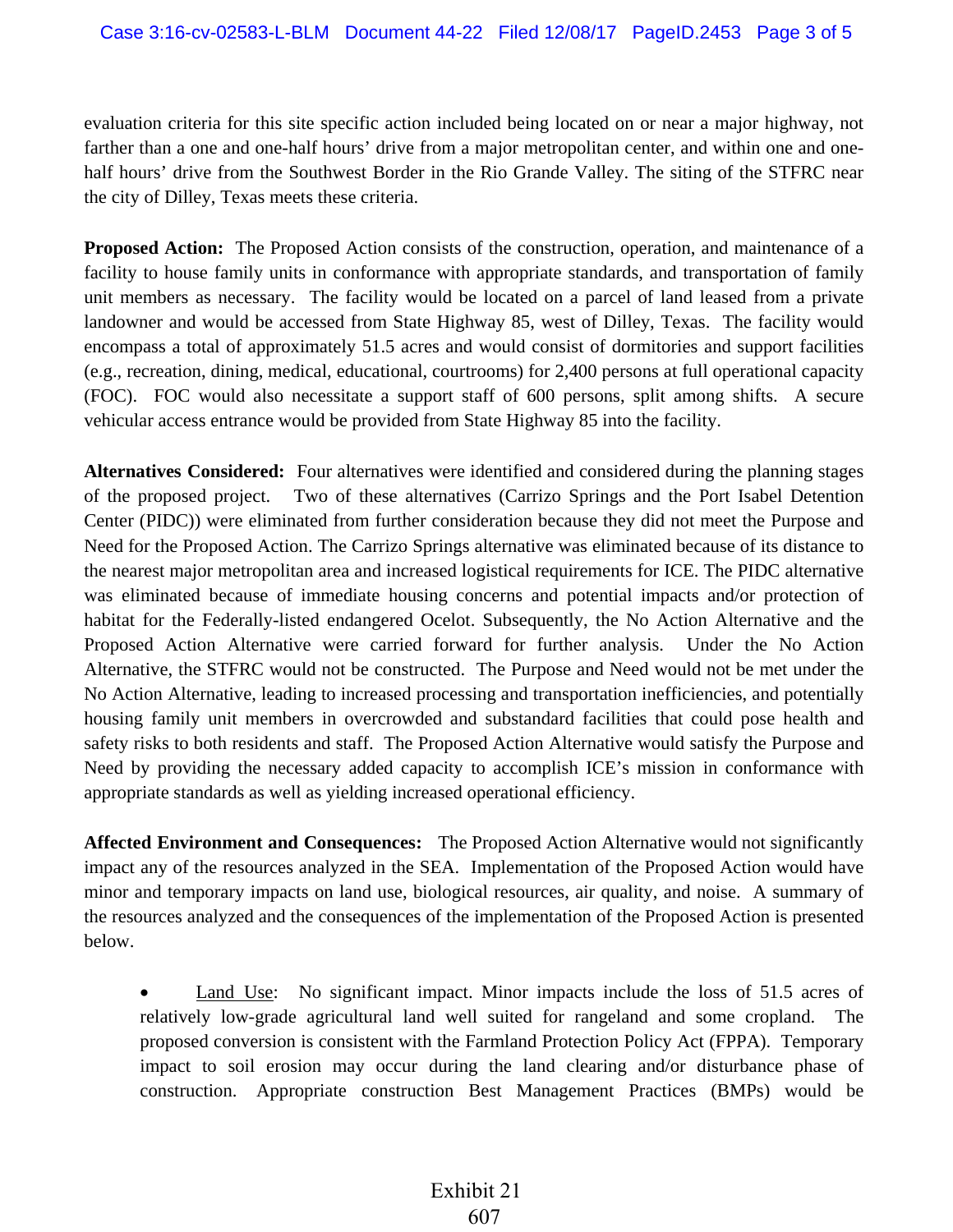evaluation criteria for this site specific action included being located on or near a major highway, not farther than a one and one-half hours' drive from a major metropolitan center, and within one and onehalf hours' drive from the Southwest Border in the Rio Grande Valley. The siting of the STFRC near the city of Dilley, Texas meets these criteria.

**Proposed Action:** The Proposed Action consists of the construction, operation, and maintenance of a facility to house family units in conformance with appropriate standards, and transportation of family unit members as necessary. The facility would be located on a parcel of land leased from a private landowner and would be accessed from State Highway 85, west of Dilley, Texas. The facility would encompass a total of approximately 51.5 acres and would consist of dormitories and support facilities (e.g., recreation, dining, medical, educational, courtrooms) for 2,400 persons at full operational capacity (FOC). FOC would also necessitate a support staff of 600 persons, split among shifts. A secure vehicular access entrance would be provided from State Highway 85 into the facility.

**Alternatives Considered:** Four alternatives were identified and considered during the planning stages of the proposed project. Two of these alternatives (Carrizo Springs and the Port Isabel Detention Center (PIDC)) were eliminated from further consideration because they did not meet the Purpose and Need for the Proposed Action. The Carrizo Springs alternative was eliminated because of its distance to the nearest major metropolitan area and increased logistical requirements for ICE. The PIDC alternative was eliminated because of immediate housing concerns and potential impacts and/or protection of habitat for the Federally-listed endangered Ocelot. Subsequently, the No Action Alternative and the Proposed Action Alternative were carried forward for further analysis. Under the No Action Alternative, the STFRC would not be constructed. The Purpose and Need would not be met under the No Action Alternative, leading to increased processing and transportation inefficiencies, and potentially housing family unit members in overcrowded and substandard facilities that could pose health and safety risks to both residents and staff. The Proposed Action Alternative would satisfy the Purpose and Need by providing the necessary added capacity to accomplish ICE's mission in conformance with appropriate standards as well as yielding increased operational efficiency.

**Affected Environment and Consequences:** The Proposed Action Alternative would not significantly impact any of the resources analyzed in the SEA. Implementation of the Proposed Action would have minor and temporary impacts on land use, biological resources, air quality, and noise. A summary of the resources analyzed and the consequences of the implementation of the Proposed Action is presented below.

Land Use: No significant impact. Minor impacts include the loss of 51.5 acres of relatively low-grade agricultural land well suited for rangeland and some cropland. The proposed conversion is consistent with the Farmland Protection Policy Act (FPPA). Temporary impact to soil erosion may occur during the land clearing and/or disturbance phase of construction. Appropriate construction Best Management Practices (BMPs) would be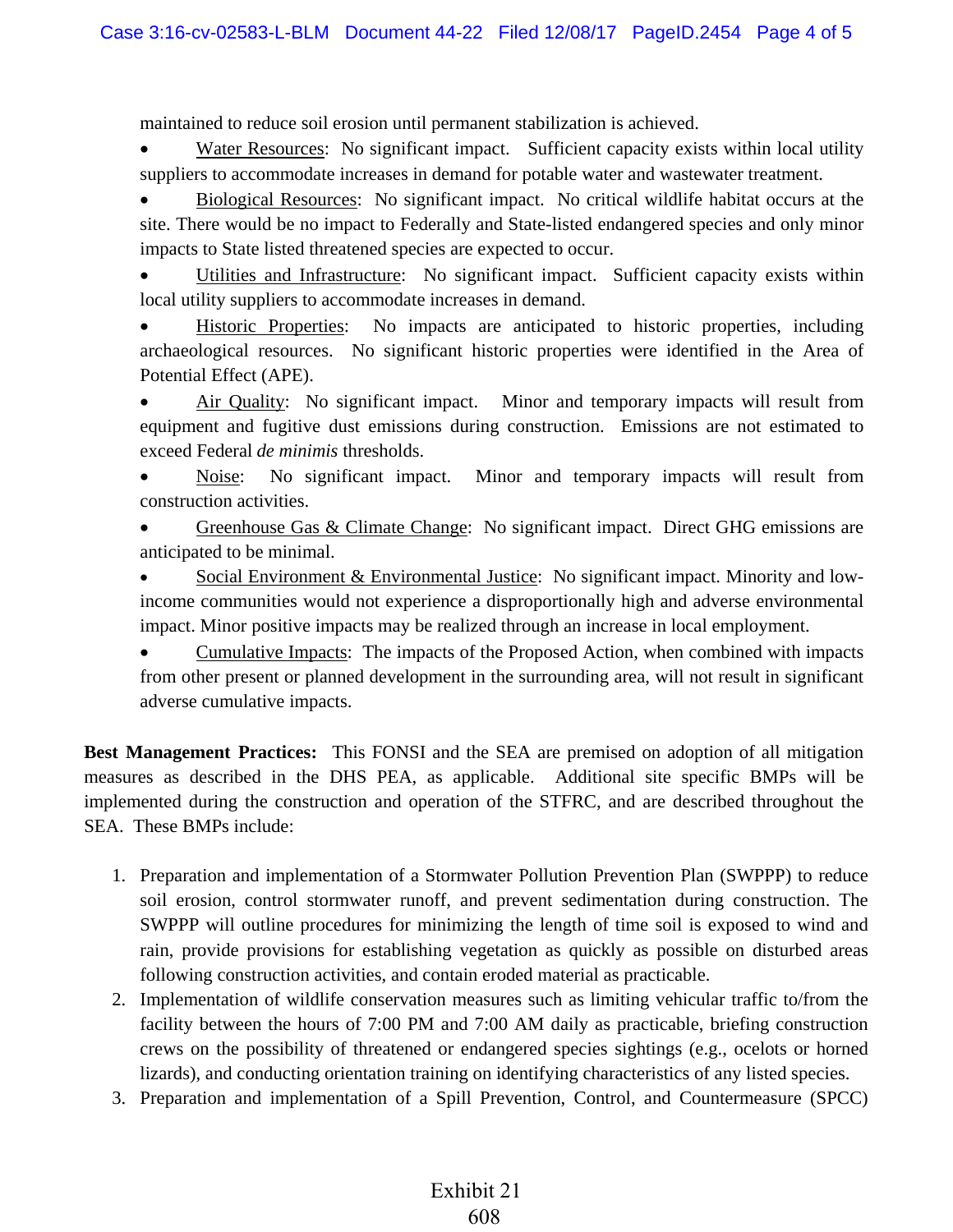maintained to reduce soil erosion until permanent stabilization is achieved.

Water Resources: No significant impact. Sufficient capacity exists within local utility suppliers to accommodate increases in demand for potable water and wastewater treatment.

• Biological Resources: No significant impact. No critical wildlife habitat occurs at the site. There would be no impact to Federally and State-listed endangered species and only minor impacts to State listed threatened species are expected to occur.

• Utilities and Infrastructure: No significant impact. Sufficient capacity exists within local utility suppliers to accommodate increases in demand.

• Historic Properties: No impacts are anticipated to historic properties, including archaeological resources. No significant historic properties were identified in the Area of Potential Effect (APE).

• Air Quality: No significant impact. Minor and temporary impacts will result from equipment and fugitive dust emissions during construction. Emissions are not estimated to exceed Federal *de minimis* thresholds.

Noise: No significant impact. Minor and temporary impacts will result from construction activities.

• Greenhouse Gas & Climate Change: No significant impact. Direct GHG emissions are anticipated to be minimal.

Social Environment & Environmental Justice: No significant impact. Minority and lowincome communities would not experience a disproportionally high and adverse environmental impact. Minor positive impacts may be realized through an increase in local employment.

• Cumulative Impacts: The impacts of the Proposed Action, when combined with impacts from other present or planned development in the surrounding area, will not result in significant adverse cumulative impacts.

**Best Management Practices:** This FONSI and the SEA are premised on adoption of all mitigation measures as described in the DHS PEA, as applicable. Additional site specific BMPs will be implemented during the construction and operation of the STFRC, and are described throughout the SEA. These BMPs include:

- 1. Preparation and implementation of a Stormwater Pollution Prevention Plan (SWPPP) to reduce soil erosion, control stormwater runoff, and prevent sedimentation during construction. The SWPPP will outline procedures for minimizing the length of time soil is exposed to wind and rain, provide provisions for establishing vegetation as quickly as possible on disturbed areas following construction activities, and contain eroded material as practicable.
- 2. Implementation of wildlife conservation measures such as limiting vehicular traffic to/from the facility between the hours of 7:00 PM and 7:00 AM daily as practicable, briefing construction crews on the possibility of threatened or endangered species sightings (e.g., ocelots or horned lizards), and conducting orientation training on identifying characteristics of any listed species.
- 3. Preparation and implementation of a Spill Prevention, Control, and Countermeasure (SPCC)